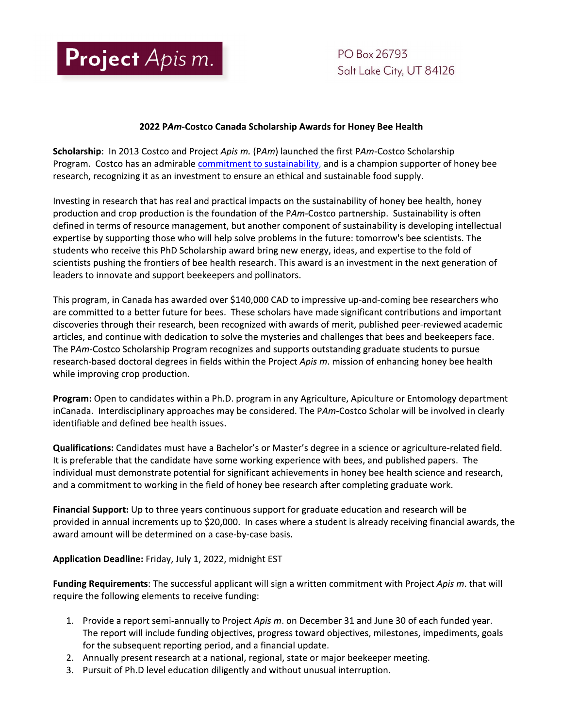

PO Box 26793 Salt Lake City, UT 84126

## 2022 PAm-Costco Canada Scholarship Awards for Honey Bee Health

Scholarship: In 2013 Costco and Project Apis m. (PAm) launched the first PAm-Costco Scholarship Program. Costco has an admirable commitment to sustainability, and is a champion supporter of honey bee research, recognizing it as an investment to ensure an ethical and sustainable food supply.

Investing in research that has real and practical impacts on the sustainability of honey bee health, honey production and crop production is the foundation of the PAm-Costco partnership. Sustainability is often defined in terms of resource management, but another component of sustainability is developing intellectual expertise by supporting those who will help solve problems in the future: tomorrow's bee scientists. The students who receive this PhD Scholarship award bring new energy, ideas, and expertise to the fold of scientists pushing the frontiers of bee health research. This award is an investment in the next generation of leaders to innovate and support beekeepers and pollinators.

This program, in Canada has awarded over \$140,000 CAD to impressive up-and-coming bee researchers who are committed to a better future for bees. These scholars have made significant contributions and important discoveries through their research, been recognized with awards of merit, published peer-reviewed academic articles, and continue with dedication to solve the mysteries and challenges that bees and beekeepers face. The PAm-Costco Scholarship Program recognizes and supports outstanding graduate students to pursue research-based doctoral degrees in fields within the Project Apis m. mission of enhancing honey bee health while improving crop production.

Program: Open to candidates within a Ph.D. program in any Agriculture, Apiculture or Entomology department inCanada. Interdisciplinary approaches may be considered. The PAm-Costco Scholar will be involved in clearly identifiable and defined bee health issues.

Qualifications: Candidates must have a Bachelor's or Master's degree in a science or agriculture-related field. It is preferable that the candidate have some working experience with bees, and published papers. The individual must demonstrate potential for significant achievements in honey bee health science and research, and a commitment to working in the field of honey bee research after completing graduate work.

Financial Support: Up to three years continuous support for graduate education and research will be provided in annual increments up to \$20,000. In cases where a student is already receiving financial awards, the award amount will be determined on a case-by-case basis.

Application Deadline: Friday, July 1, 2022, midnight EST

Funding Requirements: The successful applicant will sign a written commitment with Project Apis m. that will require the following elements to receive funding:

- 1. Provide a report semi-annually to Project Apis m. on December 31 and June 30 of each funded year. The report will include funding objectives, progress toward objectives, milestones, impediments, goals for the subsequent reporting period, and a financial update.
- 2. Annually present research at a national, regional, state or major beekeeper meeting.
- 3. Pursuit of Ph.D level education diligently and without unusual interruption.